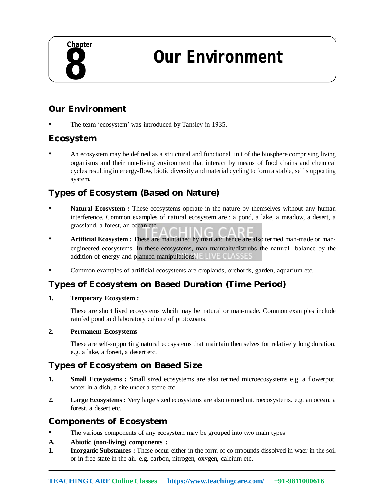**Our Environment**

# **Our Environment**

The team 'ecosystem' was introduced by Tansley in 1935.

## **Ecosystem**

• An ecosystem may be defined as a structural and functional unit of the biosphere comprising living organisms and their non-living environment that interact by means of food chains and chemical cycles resulting in energy-flow, biotic diversity and material cycling to form a stable, self s upporting system.

# **Types of Ecosystem (Based on Nature)**

- **Natural Ecosystem :** These ecosystems operate in the nature by themselves without any human interference. Common examples of natural ecosystem are : a pond, a lake, a meadow, a desert, a grassland, a forest, an ocean etc.
- **Artificial Ecosystem :** These are maintained by man and hence are also termed man-made or manengineered ecosystems. In these ecosystems, man maintain/distrubs the natural balance by the addition of energy and planned manipulations. **ELIVE CLASSES**
- Common examples of artificial ecosystems are croplands, orchords, garden, aquarium etc.

## **Types of Ecosystem on Based Duration (Time Period)**

#### **1. Temporary Ecosystem :**

These are short lived ecosystems whcih may be natural or man-made. Common examples include rainfed pond and laboratory culture of protozoans.

#### **2. Permanent Ecosystems**

These are self-supporting natural ecosystems that maintain themselves for relatively long duration. e.g. a lake, a forest, a desert etc.

## **Types of Ecosystem on Based Size**

- **1. Small Ecosystems :** Small sized ecosystems are also termed microecosystems e.g. a flowerpot, water in a dish, a site under a stone etc.
- **2. Large Ecosystems :** Very large sized ecosystems are also termed microecosystems. e.g. an ocean, a forest, a desert etc.

## **Components of Ecosystem**

- The various components of any ecosystem may be grouped into two main types :
- **A. Abiotic (non-living) components :**
- **1. Inorganic Substances :** These occur either in the form of co mpounds dissolved in waer in the soil or in free state in the air. e.g. carbon, nitrogen, oxygen, calcium etc.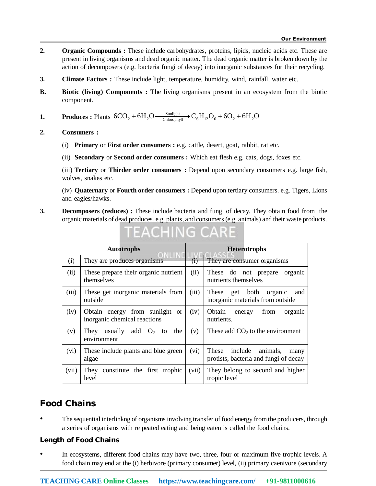- **2. Organic Compounds :** These include carbohydrates, proteins, lipids, nucleic acids etc. These are present in living organisms and dead organic matter. The dead organic matter is broken down by the action of decomposers (e.g. bacteria fungi of decay) into inorganic substances for their recycling.
- **3. Climate Factors :** These include light, temperature, humidity, wind, rainfall, water etc.
- **B. Biotic (living) Components :** The living organisms present in an ecosystem from the biotic component.

**1. Produces :** Plants  $6CO_2 + 6H_2O \frac{\text{Sunlight}}{\text{Chlorophyll}}$   $\rightarrow C_6H_{12}O_6 + 6O_2 + 6H_2O$ 

**2. Consumers :**

- (i) **Primary** or **First order consumers :** e.g. cattle, desert, goat, rabbit, rat etc.
- (ii) **Secondary** or **Second order consumers :** Which eat flesh e.g. cats, dogs, foxes etc.

(iii) **Tertiary** or **Thirder order consumers :** Depend upon secondary consumers e.g. large fish, wolves, snakes etc.

(iv) **Quaternary** or **Fourth order consumers :** Depend upon tertiary consumers. e.g. Tigers, Lions and eagles/hawks.

**3. Decomposers (reduces) :** These include bacteria and fungi of decay. They obtain food from the organic materials of dead produces. e.g. plants, and consumers (e.g. animals) and their waste products.

| <b>Autotrophs</b> |                                                                              | <b>Heterotrophs</b> |                                                                         |
|-------------------|------------------------------------------------------------------------------|---------------------|-------------------------------------------------------------------------|
| (i)               | They are produces organisms                                                  | (i)                 | They are consumer organisms                                             |
| (ii)              | These prepare their organic nutrient<br>themselves                           | (ii)                | These do not prepare<br>organic<br>nutrients themselves                 |
| (iii)             | These get inorganic materials from<br>outside                                | (iii)               | These get both organic<br>and<br>inorganic materials from outside       |
| (iv)              | Obtain energy from sunlight<br><sub>or</sub><br>inorganic chemical reactions | (iv)                | Obtain<br>from<br>organic<br>energy<br>nutrients.                       |
| (v)               | They usually add<br>$O_2$ to the<br>environment                              | (v)                 | These add $CO2$ to the environment                                      |
| (vi)              | These include plants and blue green<br>algae                                 | (vi)                | These include animals,<br>many<br>protists, bacteria and fungi of decay |
| (vii)             | constitute the first trophic<br>They<br>level                                | (vii)               | They belong to second and higher<br>tropic level                        |

# FEACHING CARE

## **Food Chains**

• The sequential interlinkng of organisms involving transfer of food energy from the producers, through a series of organisms with re peated eating and being eaten is called the food chains.

#### **Length of Food Chains**

• In ecosystems, different food chains may have two, three, four or maximum five trophic levels. A food chain may end at the (i) herbivore (primary consumer) level, (ii) primary caenivore (secondary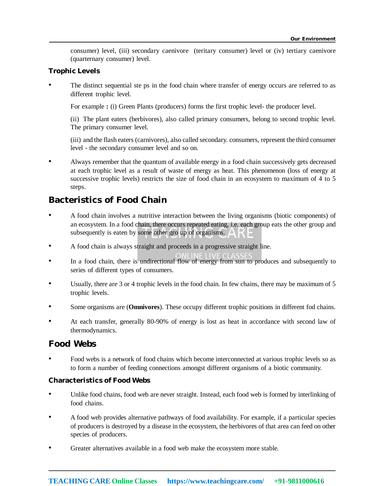consumer) level, (iii) secondary caenivore (teritary consumer) level or (iv) tertiary caenivore (quarternary consumer) level.

#### **Trophic Levels**

The distinct sequential ste ps in the food chain where transfer of energy occurs are referred to as different trophic level.

For example : (i) Green Plants (producers) forms the first trophic level- the producer level.

(ii) The plant eaters (herbivores), also called primary consumers, belong to second trophic level. The primary consumer level.

(iii) and the flash eaters (carnivores), also called secondary. consumers, represent the third consumer level - the secondary consumer level and so on.

• Always remember that the quantum of available energy in a food chain successively gets decreased at each trophic level as a result of waste of energy as heat. This phenomenon (loss of energy at successive trophic levels) restricts the size of food chain in an ecosystem to maximum of 4 to 5 steps.

## **Bacteristics of Food Chain**

- A food chain involves a nutritive interaction between the living organisms (biotic components) of an ecosystem. In a food chain, there occurs repeated eating, i.e. each group eats the other group and subsequently is eaten by some other gro up of organisms.
- A food chain is always straight and proceeds in a progressive straight line.
- In a food chain, there is undirectional flow of energy from sun to produces and subsequently to series of different types of consumers.
- Usually, there are 3 or 4 trophic levels in the food chain. In few chains, there may be maximum of 5 trophic levels.
- Some organisms are (**Omnivores**). These occupy different trophic positions in different fod chains.
- At each transfer, generally 80-90% of energy is lost as heat in accordance with second law of thermodynamics.

#### **Food Webs**

• Food webs is a network of food chains which become interconnected at various trophic levels so as to form a number of feeding connections amongst different organisms of a biotic community.

#### **Characteristics of Food Webs**

- Unlike food chains, food web are never straight. Instead, each food web is formed by interlinking of food chains.
- A food web provides alternative pathways of food availability. For example, if a particular species of producers is destroyed by a disease in the ecosystem, the herbivores of that area can feed on other species of producers.
- Greater alternatives available in a food web make the ecosystem more stable.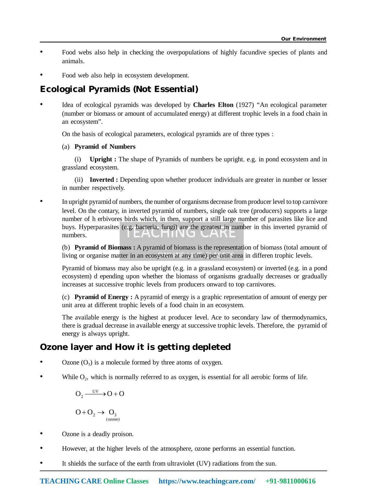- Food webs also help in checking the overpopulations of highly facundive species of plants and animals.
- Food web also help in ecosystem development.

## **Ecological Pyramids (Not Essential)**

• Idea of ecological pyramids was developed by **Charles Elton** (1927) "An ecological parameter (number or biomass or amount of accumulated energy) at different trophic levels in a food chain in an ecosystem".

On the basis of ecological parameters, ecological pyramids are of three types :

#### (a) **Pyramid of Numbers**

(i) **Upright :** The shape of Pyramids of numbers be upright. e.g. in pond ecosystem and in grassland ecosystem.

(ii) **Inverted :** Depending upon whether producer individuals are greater in number or lesser in number respectively.

• In upright pyramid of numbers, the number of organisms decrease from producer level to top carnivore level. On the contary, in inverted pyramid of numbers, single oak tree (producers) supports a large number of h erbivores birds which, in then, support a still large number of parasites like lice and buys. Hyperparasites (e.g. bacteria, fungi) are the greatest in number in this inverted pyramid of numbers.

(b) **Pyramid of Biomass :** A pyramid of biomass is the representation of biomass (total amount of living or organise matter in an ecosystem at any time) per unit area in differen trophic levels.

Pyramid of biomass may also be upright (e.g. in a grassland ecosystem) or inverted (e.g. in a pond ecosystem) d epending upon whether the biomass of organisms gradually decreases or gradually increases at successive trophic levels from producers onward to top carnivores.

(c) **Pyramid of Energy :** A pyramid of energy is a graphic representation of amount of energy per unit area at different trophic levels of a food chain in an ecosystem.

The available energy is the highest at producer level. Ace to secondary law of thermodynamics, there is gradual decrease in available energy at successive trophic levels. Therefore, the pyramid of energy is always upright.

## **Ozone layer and How it is getting depleted**

- Ozone  $(O_3)$  is a molecule formed by three atoms of oxygen.
- While  $O_2$ , which is normally referred to as oxygen, is essential for all aerobic forms of life.

$$
O_2 \xrightarrow{UV} O + O
$$

$$
\mathrm{O} + \mathrm{O}_2 \rightarrow \mathrm{O}_3 \text{(ozone)}
$$

- Ozone is a deadly proison.
- However, at the higher levels of the atmosphere, ozone performs an essential function.
- It shields the surface of the earth from ultraviolet (UV) radiations from the sun.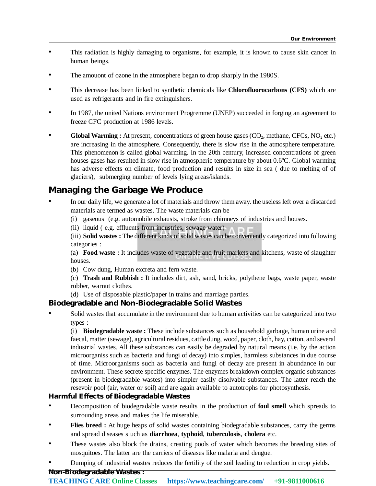- This radiation is highly damaging to organisms, for example, it is known to cause skin cancer in human beings.
- The amouont of ozone in the atmosphere began to drop sharply in the 1980S.
- This decrease has been linked to synthetic chemicals like **Chlorofluorocarbons (CFS)** which are used as refrigerants and in fire extinguishers.
- In 1987, the united Nations environment Progremme (UNEP) succeeded in forging an agreement to freeze CFC production at 1986 levels.
- **Global Warming :** At present, concentrations of green house gases (CO<sub>2</sub>, methane, CFCs, NO<sub>2</sub> etc.) are increasing in the atmosphere. Consequently, there is slow rise in the atmosphere temperature. This phenomenon is called global warming. In the 20th century, increased concentrations of green houses gases has resulted in slow rise in atmospheric temperature by about 0.6ºC. Global warming has adverse effects on climate, food production and results in size in sea ( due to melting of of glaciers), submerging number of levels lying areas/islands.

## **Managing the Garbage We Produce**

- In our daily life, we generate a lot of materials and throw them away. the useless left over a discarded materials are termed as wastes. The waste materials can be
	- (i) gaseous (e.g. automobile exhausts, stroke from chimneys of industries and houses.
	- (ii) liquid ( e.g. effluents from industries, sewage water)

(iii) **Solid wastes :** The different kinds of solid wastes can be conveniently categorized into following categories :

(a) **Food waste :** It includes waste of vegetable and fruit markets and kitchens, waste of slaughter houses.

(b) Cow dung, Human excreta and fern waste.

(c) **Trash and Rubbish :** It includes dirt, ash, sand, bricks, polythene bags, waste paper, waste rubber, warnut clothes.

(d) Use of disposable plastic/paper in trains and marriage parties.

#### **Biodegradable and Non-Biodegradable Solid Wastes**

Solid wastes that accumulate in the environment due to human activities can be categorized into two types :

(i) **Biodegradable waste :** These include substances such as household garbage, human urine and faecal, matter (sewage), agricultural residues, cattle dung, wood, paper, cloth, hay, cotton, and several industrial wastes. All these substances can easily be degraded by natural means (i.e. by the action microorganiss such as bacteria and fungi of decay) into simples, harmless substances in due course of time. Microorganisms such as bacteria and fungi of decay are present in abundance in our environment. These secrete specific enzymes. The enzymes breakdown complex organic substances (present in biodegradable wastes) into simpler easily disolvable substances. The latter reach the resevoir pool (air, water or soil) and are again available to autotrophs for photosynthesis.

#### **Harmful Effects of Biodegradable Wastes**

- Decomposition of biodegradable waste results in the production of **foul smell** which spreads to surrounding areas and makes the life miserable.
- **Flies breed :** At huge heaps of solid wastes containing biodegradable substances, carry the germs and spread diseases s uch as **diarrhoea**, **typhoid**, **tuberculosis**, **cholera** etc.
- These wastes also block the drains, creating pools of water which becomes the breeding sites of mosquitoes. The latter are the carriers of diseases like malaria and dengue.
- Dumping of industrial wastes reduces the fertility of the soil leading to reduction in crop yields.

#### **Non-Biodegradable Wastes :**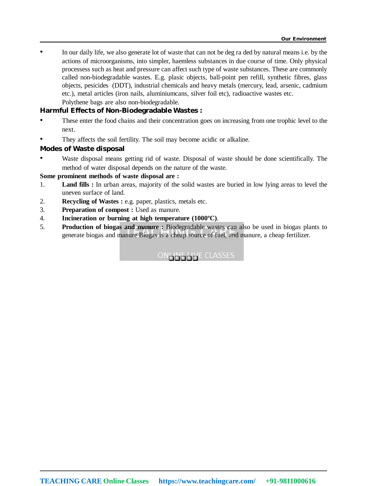• In our daily life, we also generate lot of waste that can not be deg ra ded by natural means i.e. by the actions of microorganisms, into simpler, haemless substances in due course of time. Only physical processess such as heat and pressure can affect such type of waste substances. These are commonly called non-biodegradable wastes. E.g. plasic objects, ball-point pen refill, synthetic fibres, glass objects, pesicides (DDT), industrial chemicals and heavy metals (mercury, lead, arsenic, cadmium etc.), metal articles (iron nails, aluminiumcans, silver foil etc), radioactive wastes etc. Polythene bags are also non-biodegradable.

**Harmful Effects of Non-Biodegradable Wastes :**

- These enter the food chains and their concentration goes on increasing from one trophic level to the next.
- They affects the soil fertility. The soil may become acidic or alkaline.

#### **Modes of Waste disposal**

• Waste disposal means getting rid of waste. Disposal of waste should be done scientifically. The method of water disposal depends on the nature of the waste.

#### **Some prominent methods of waste disposal are :**

- 1. **Land fills :** In urban areas, majority of the solid wastes are buried in low lying areas to level the uneven surface of land.
- 2. **Recycling of Wastes :** e.g. paper, plastics, metals etc.
- 3. **Preparation of compost :** Used as manure.
- 4. **Incineration or burning at high temperature (1000ºC)**.
- 5. **Production of biogas and manure :** Biodegradable wastes can also be used in biogas plants to generate biogas and manure Biogas is a cheap source of fuel, and manure, a cheap fertilizer.

**ONLINE CLASSES**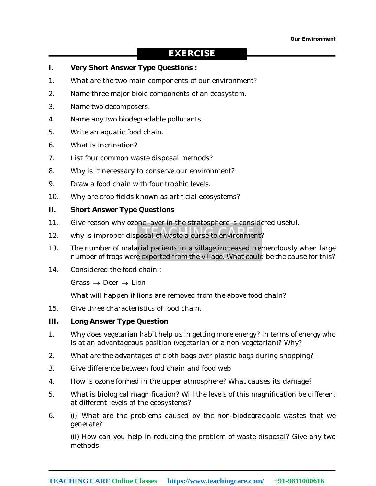### **EXERCISE**

- **I. Very Short Answer Type Questions :**
- 1. What are the two main components of our environment?
- 2. Name three major bioic components of an ecosystem.
- 3. Name two decomposers.
- 4. Name any two biodegradable pollutants.
- 5. Write an aquatic food chain.
- 6. What is incrination?
- 7. List four common waste disposal methods?
- 8. Why is it necessary to conserve our environment?
- 9. Draw a food chain with four trophic levels.
- 10. Why are crop fields known as artificial ecosystems?

#### **II. Short Answer Type Questions**

- 11. Give reason why ozone layer in the stratosphere is considered useful.
- 12. why is improper disposal of waste a curse to environment?
- 13. The number of malarial patients in a village increased tremendously when large number of frogs were exported from the village. What could be the cause for this?
- 14. Considered the food chain :

Grass  $\rightarrow$  Deer  $\rightarrow$  Lion

What will happen if lions are removed from the above food chain?

15. Give three characteristics of food chain.

#### **III. Long Answer Type Question**

- 1. Why does vegetarian habit help us in getting more energy? In terms of energy who is at an advantageous position (vegetarian or a non-vegetarian)? Why?
- 2. What are the advantages of cloth bags over plastic bags during shopping?
- 3. Give difference between food chain and food web.
- 4. How is ozone formed in the upper atmosphere? What causes its damage?
- 5. What is biological magnification? Will the levels of this magnification be different at different levels of the ecosystems?
- 6. (i) What are the problems caused by the non-biodegradable wastes that we generate?

(ii) How can you help in reducing the problem of waste disposal? Give any two methods.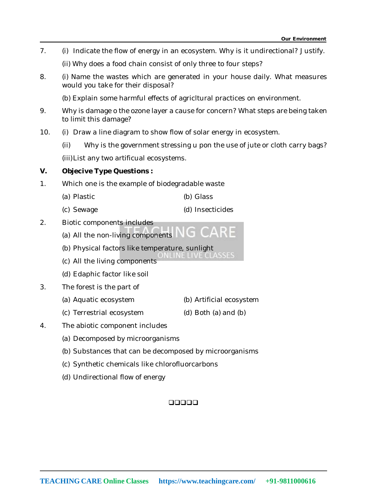7. (i) Indicate the flow of energy in an ecosystem. Why is it undirectional? Justify.

(ii) Why does a food chain consist of only three to four steps?

8. (i) Name the wastes which are generated in your house daily. What measures would you take for their disposal?

(b) Explain some harmful effects of agricltural practices on environment.

- 9. Why is damage o the ozone layer a cause for concern? What steps are being taken to limit this damage?
- 10. (i) Draw a line diagram to show flow of solar energy in ecosystem.
	- (ii) Why is the government stressing u pon the use of jute or cloth carry bags?

(iii)List any two artificual ecosystems.

#### **V. Objecive Type Questions :**

- 1. Which one is the example of biodegradable waste
	- (a) Plastic (b) Glass
	- (c) Sewage (d) Insecticides
- 2. Biotic components includes
	- (a) All the non-living components
	- (b) Physical factors like temperature, sunlight
	- (c) All the living components
	- (d) Edaphic factor like soil
- 3. The forest is the part of
	- (a) Aquatic ecosystem (b) Artificial ecosystem
	- (c) Terrestrial ecosystem (d) Both (a) and (b)
- 4. The abiotic component includes
	- (a) Decomposed by microorganisms
	- (b) Substances that can be decomposed by microorganisms
	- (c) Synthetic chemicals like chlorofluorcarbons
	- (d) Undirectional flow of energy

#### 00000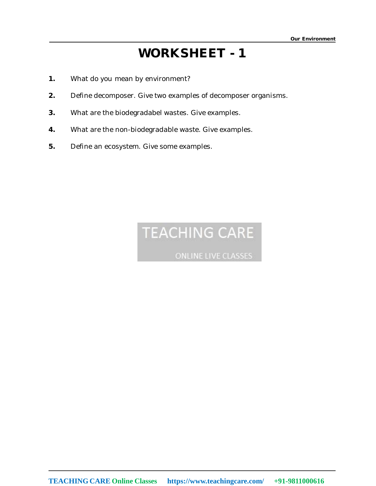- **1.** What do you mean by environment?
- **2.** Define decomposer. Give two examples of decomposer organisms.
- **3.** What are the biodegradabel wastes. Give examples.
- **4.** What are the non-biodegradable waste. Give examples.
- **5.** Define an ecosystem. Give some examples.

# **TEACHING CARE**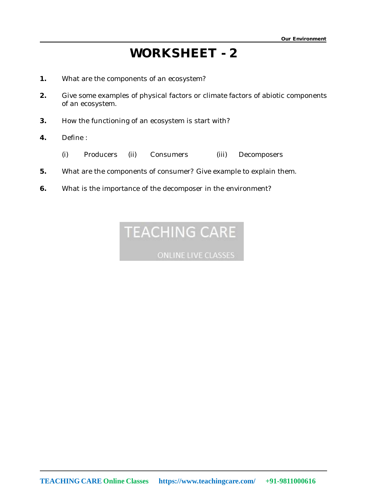- **1.** What are the components of an ecosystem?
- **2.** Give some examples of physical factors or climate factors of abiotic components of an ecosystem.
- **3.** How the functioning of an ecosystem is start with?
- **4.** Define :
	- (i) Producers (ii) Consumers (iii) Decomposers
- **5.** What are the components of consumer? Give example to explain them.
- **6.** What is the importance of the decomposer in the environment?

# **TEACHING CARE**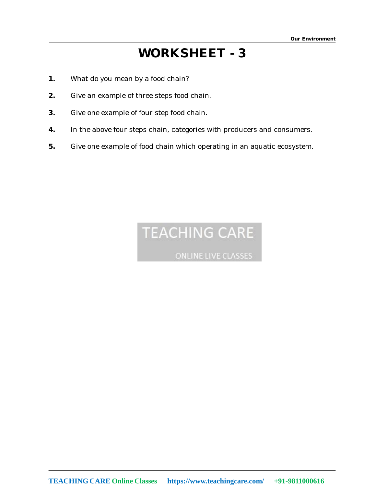- **1.** What do you mean by a food chain?
- **2.** Give an example of three steps food chain.
- **3.** Give one example of four step food chain.
- **4.** In the above four steps chain, categories with producers and consumers.
- **5.** Give one example of food chain which operating in an aquatic ecosystem.

# **TEACHING CARE**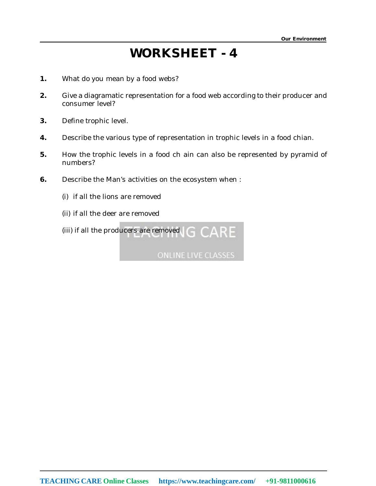- **1.** What do you mean by a food webs?
- **2.** Give a diagramatic representation for a food web according to their producer and consumer level?
- **3.** Define trophic level.
- **4.** Describe the various type of representation in trophic levels in a food chian.
- **5.** How the trophic levels in a food ch ain can also be represented by pyramid of numbers?
- **6.** Describe the Man's activities on the ecosystem when :
	- (i) if all the lions are removed
	- (ii) if all the deer are removed
	- (iii) if all the producers are removed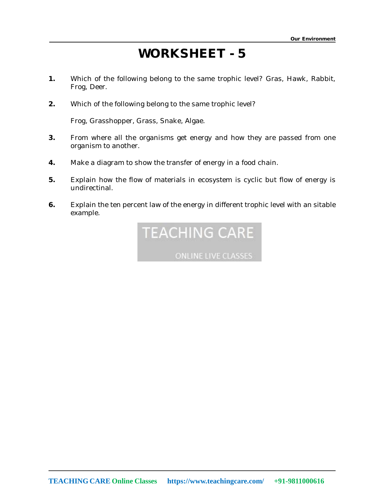- **1.** Which of the following belong to the same trophic level? Gras, Hawk, Rabbit, Frog, Deer.
- **2.** Which of the following belong to the same trophic level?

Frog, Grasshopper, Grass, Snake, Algae.

- **3.** From where all the organisms get energy and how they are passed from one organism to another.
- **4.** Make a diagram to show the transfer of energy in a food chain.
- **5.** Explain how the flow of materials in ecosystem is cyclic but flow of energy is undirectinal.
- **6.** Explain the ten percent law of the energy in different trophic level with an sitable example.